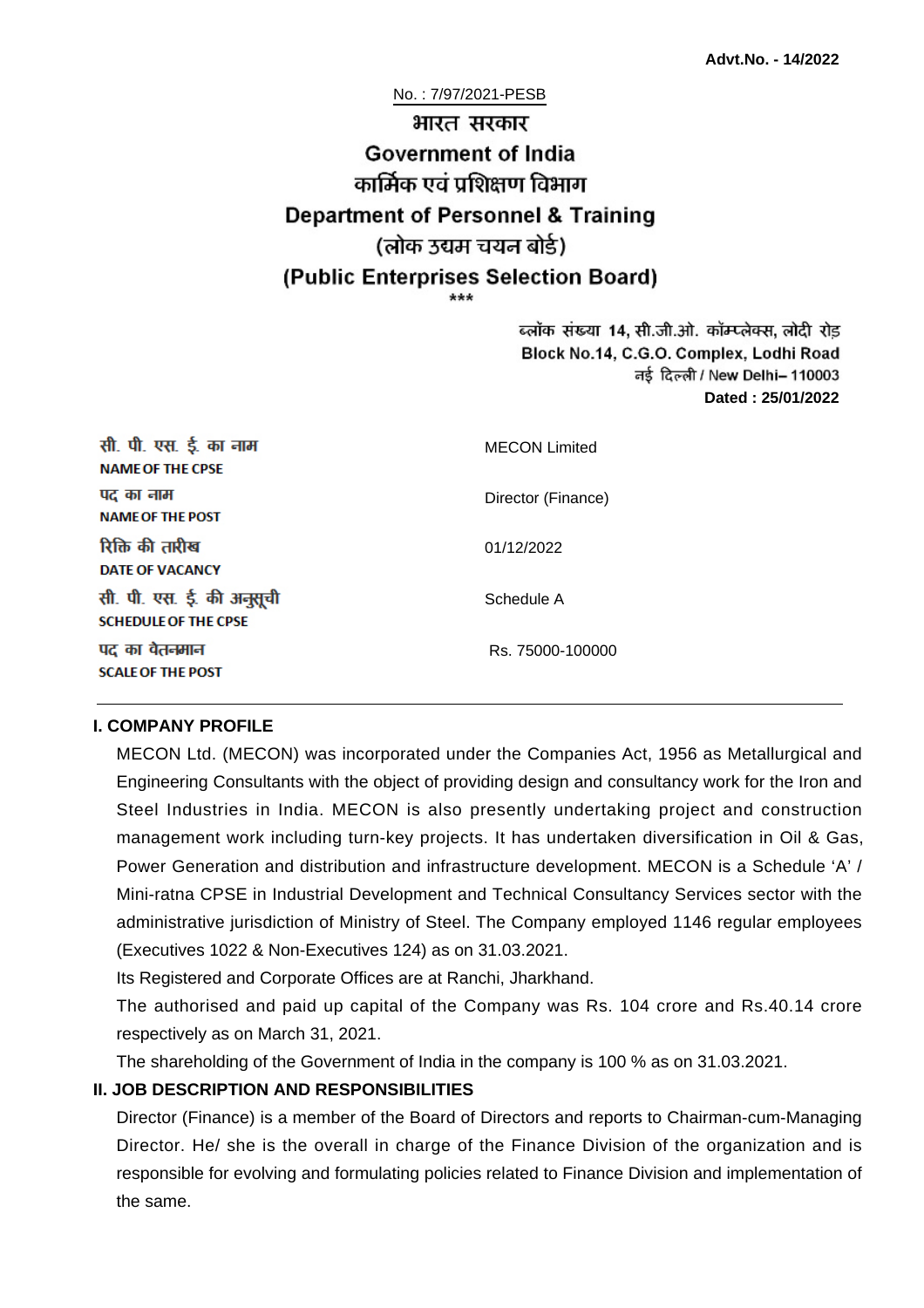#### No. : 7/97/2021-PESB

# भारत सरकार **Government of India** कार्मिक एवं पशिक्षण विभाग **Department of Personnel & Training** (लोक उद्यम चयन बोर्ड) (Public Enterprises Selection Board)

ब्लॉक संख्या 14, सी.जी.ओ. कॉम्प्लेक्स, लोदी रोड Block No.14, C.G.O. Complex, Lodhi Road ਰई दिल्ली / New Delhi– 110003 **Dated : 25/01/2022**

| सी. पी. एस. ई. का नाम<br><b>NAME OF THE CPSE</b>         | <b>MECON Limited</b> |
|----------------------------------------------------------|----------------------|
| पद का नाम<br><b>NAME OF THE POST</b>                     | Director (Finance)   |
| रिक्ति की तारीख<br><b>DATE OF VACANCY</b>                | 01/12/2022           |
| सी. पी. एस. ई. की अनुसूची<br><b>SCHEDULE OF THE CPSE</b> | Schedule A           |
| पद का वेतनमान<br><b>SCALE OF THE POST</b>                | Rs. 75000-100000     |

#### **I. COMPANY PROFILE**

MECON Ltd. (MECON) was incorporated under the Companies Act, 1956 as Metallurgical and Engineering Consultants with the object of providing design and consultancy work for the Iron and Steel Industries in India. MECON is also presently undertaking project and construction management work including turn-key projects. It has undertaken diversification in Oil & Gas, Power Generation and distribution and infrastructure development. MECON is a Schedule 'A' / Mini-ratna CPSE in Industrial Development and Technical Consultancy Services sector with the administrative jurisdiction of Ministry of Steel. The Company employed 1146 regular employees (Executives 1022 & Non-Executives 124) as on 31.03.2021.

Its Registered and Corporate Offices are at Ranchi, Jharkhand.

The authorised and paid up capital of the Company was Rs. 104 crore and Rs.40.14 crore respectively as on March 31, 2021.

The shareholding of the Government of India in the company is 100 % as on 31.03.2021.

#### **II. JOB DESCRIPTION AND RESPONSIBILITIES**

Director (Finance) is a member of the Board of Directors and reports to Chairman-cum-Managing Director. He/ she is the overall in charge of the Finance Division of the organization and is responsible for evolving and formulating policies related to Finance Division and implementation of the same.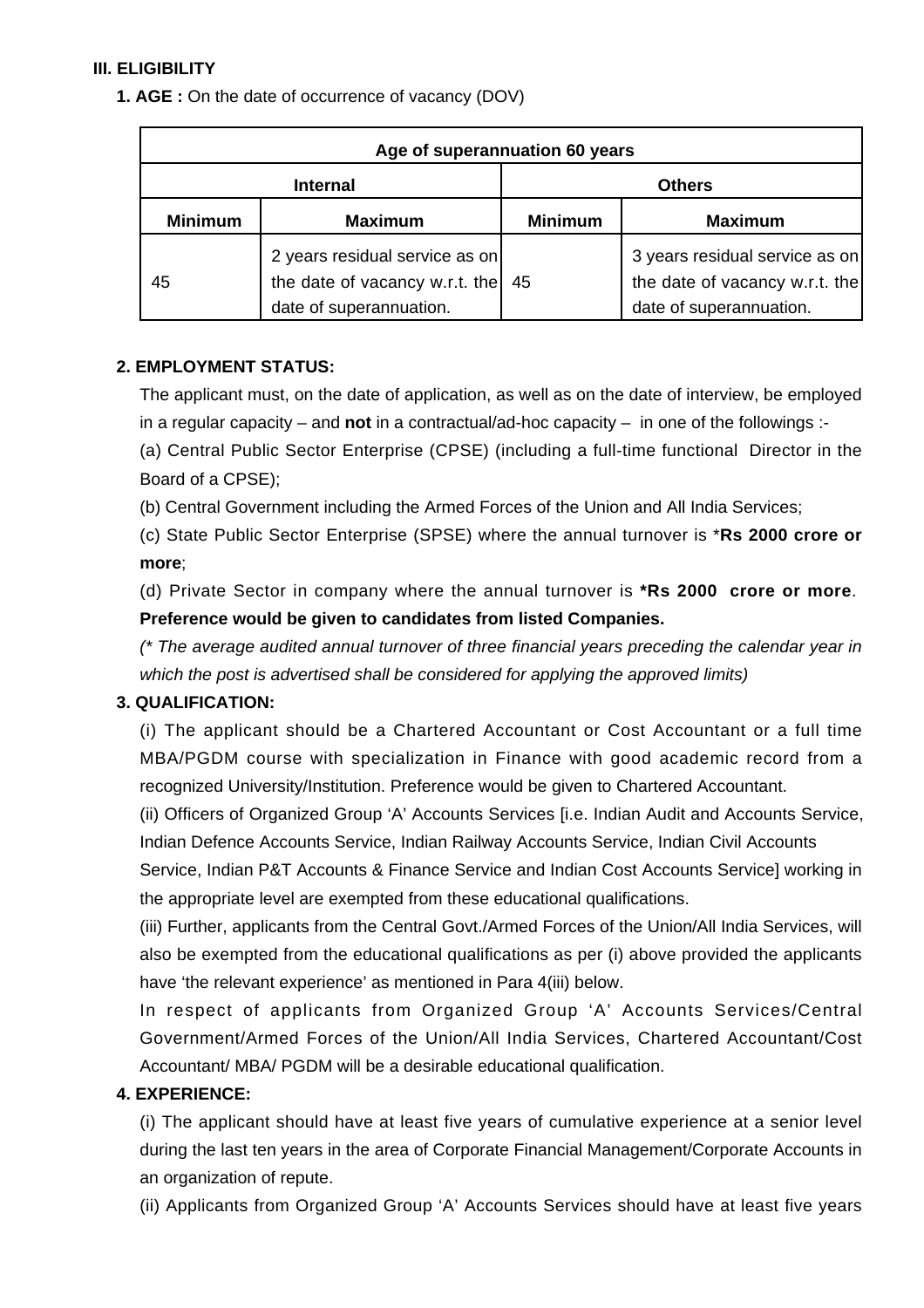## **III. ELIGIBILITY**

**1. AGE :** On the date of occurrence of vacancy (DOV)

| Age of superannuation 60 years |                                                                                             |                |                                                                                             |
|--------------------------------|---------------------------------------------------------------------------------------------|----------------|---------------------------------------------------------------------------------------------|
|                                | <b>Internal</b>                                                                             |                | <b>Others</b>                                                                               |
| <b>Minimum</b>                 | <b>Maximum</b>                                                                              | <b>Minimum</b> | <b>Maximum</b>                                                                              |
| 45                             | 2 years residual service as on<br>the date of vacancy w.r.t. the<br>date of superannuation. | 45             | 3 years residual service as on<br>the date of vacancy w.r.t. the<br>date of superannuation. |

## **2. EMPLOYMENT STATUS:**

The applicant must, on the date of application, as well as on the date of interview, be employed in a regular capacity – and **not** in a contractual/ad-hoc capacity – in one of the followings :-

(a) Central Public Sector Enterprise (CPSE) (including a full-time functional Director in the Board of a CPSE);

(b) Central Government including the Armed Forces of the Union and All India Services;

(c) State Public Sector Enterprise (SPSE) where the annual turnover is \***Rs 2000 crore or more**;

(d) Private Sector in company where the annual turnover is **\*Rs 2000 crore or more**. **Preference would be given to candidates from listed Companies.**

(\* The average audited annual turnover of three financial years preceding the calendar year in which the post is advertised shall be considered for applying the approved limits)

## **3. QUALIFICATION:**

(i) The applicant should be a Chartered Accountant or Cost Accountant or a full time MBA/PGDM course with specialization in Finance with good academic record from a recognized University/Institution. Preference would be given to Chartered Accountant.

(ii) Officers of Organized Group 'A' Accounts Services [i.e. Indian Audit and Accounts Service, Indian Defence Accounts Service, Indian Railway Accounts Service, Indian Civil Accounts

Service, Indian P&T Accounts & Finance Service and Indian Cost Accounts Service] working in the appropriate level are exempted from these educational qualifications.

(iii) Further, applicants from the Central Govt./Armed Forces of the Union/All India Services, will also be exempted from the educational qualifications as per (i) above provided the applicants have 'the relevant experience' as mentioned in Para 4(iii) below.

In respect of applicants from Organized Group 'A' Accounts Services/Central Government/Armed Forces of the Union/All India Services, Chartered Accountant/Cost Accountant/ MBA/ PGDM will be a desirable educational qualification.

## **4. EXPERIENCE:**

(i) The applicant should have at least five years of cumulative experience at a senior level during the last ten years in the area of Corporate Financial Management/Corporate Accounts in an organization of repute.

(ii) Applicants from Organized Group 'A' Accounts Services should have at least five years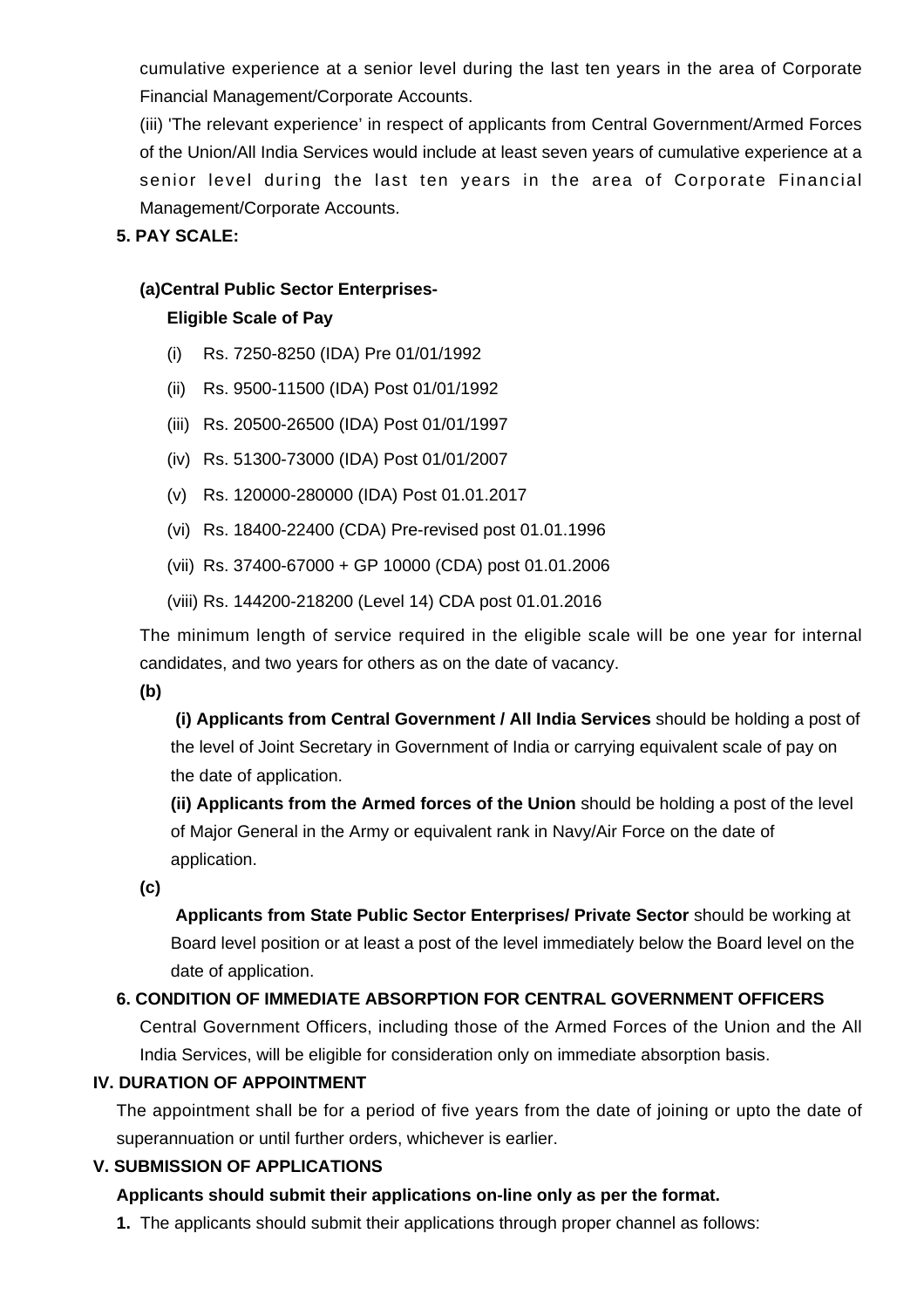cumulative experience at a senior level during the last ten years in the area of Corporate Financial Management/Corporate Accounts.

(iii) 'The relevant experience' in respect of applicants from Central Government/Armed Forces of the Union/All India Services would include at least seven years of cumulative experience at a senior level during the last ten years in the area of Corporate Financial Management/Corporate Accounts.

**5. PAY SCALE:**

#### **(a)Central Public Sector Enterprises-**

#### **Eligible Scale of Pay**

- (i) Rs. 7250-8250 (IDA) Pre 01/01/1992
- (ii) Rs. 9500-11500 (IDA) Post 01/01/1992
- (iii) Rs. 20500-26500 (IDA) Post 01/01/1997
- (iv) Rs. 51300-73000 (IDA) Post 01/01/2007
- (v) Rs. 120000-280000 (IDA) Post 01.01.2017
- (vi) Rs. 18400-22400 (CDA) Pre-revised post 01.01.1996
- (vii) Rs. 37400-67000 + GP 10000 (CDA) post 01.01.2006
- (viii) Rs. 144200-218200 (Level 14) CDA post 01.01.2016

The minimum length of service required in the eligible scale will be one year for internal candidates, and two years for others as on the date of vacancy.

**(b)**

**(i) Applicants from Central Government / All India Services** should be holding a post of the level of Joint Secretary in Government of India or carrying equivalent scale of pay on the date of application.

**(ii) Applicants from the Armed forces of the Union** should be holding a post of the level of Major General in the Army or equivalent rank in Navy/Air Force on the date of application.

**(c)**

 **Applicants from State Public Sector Enterprises/ Private Sector** should be working at Board level position or at least a post of the level immediately below the Board level on the date of application.

## **6. CONDITION OF IMMEDIATE ABSORPTION FOR CENTRAL GOVERNMENT OFFICERS**

Central Government Officers, including those of the Armed Forces of the Union and the All India Services, will be eligible for consideration only on immediate absorption basis.

## **IV. DURATION OF APPOINTMENT**

The appointment shall be for a period of five years from the date of joining or upto the date of superannuation or until further orders, whichever is earlier.

## **V. SUBMISSION OF APPLICATIONS**

## **Applicants should submit their applications on-line only as per the format.**

**1.** The applicants should submit their applications through proper channel as follows: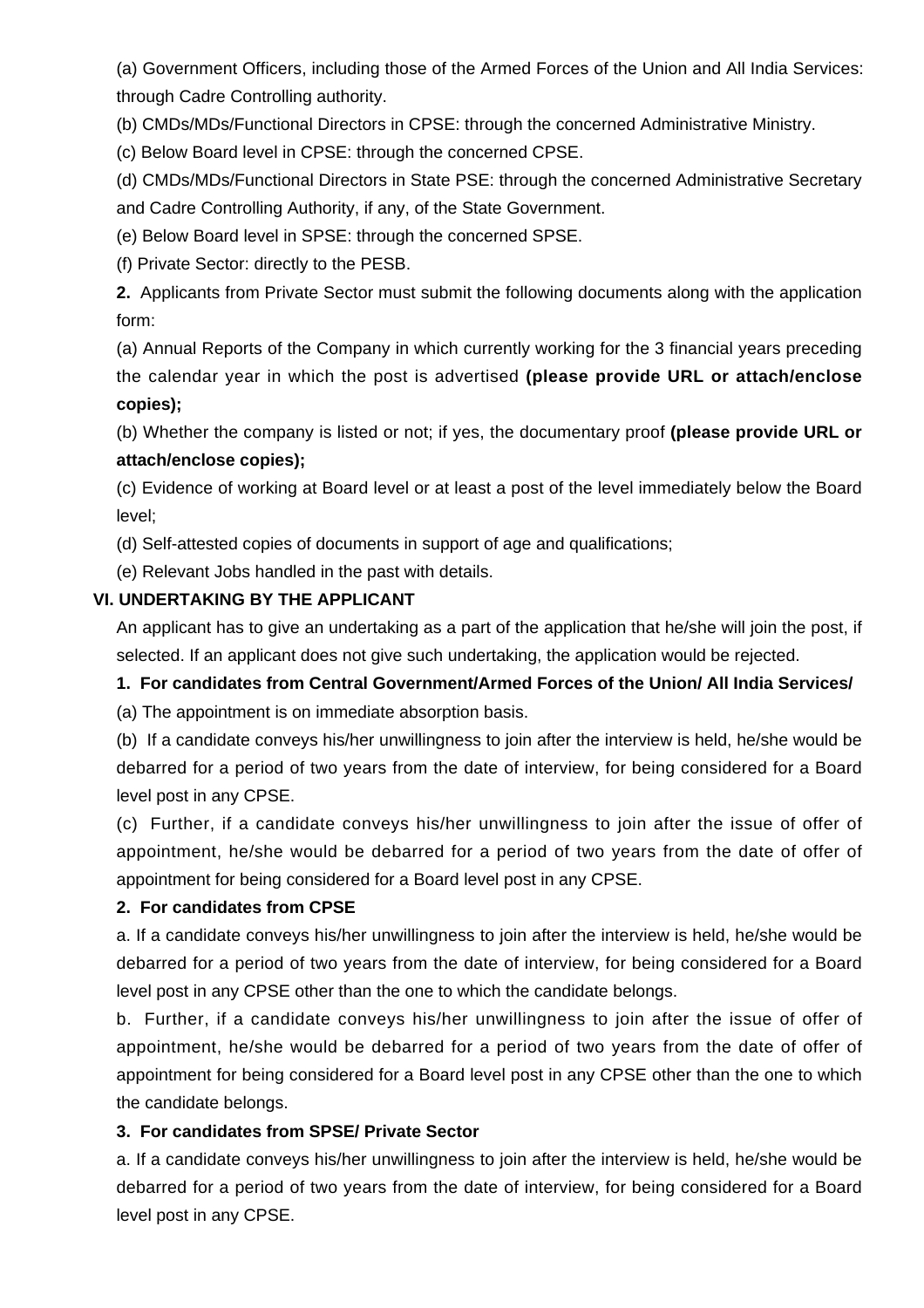(a) Government Officers, including those of the Armed Forces of the Union and All India Services: through Cadre Controlling authority.

(b) CMDs/MDs/Functional Directors in CPSE: through the concerned Administrative Ministry.

(c) Below Board level in CPSE: through the concerned CPSE.

(d) CMDs/MDs/Functional Directors in State PSE: through the concerned Administrative Secretary and Cadre Controlling Authority, if any, of the State Government.

(e) Below Board level in SPSE: through the concerned SPSE.

(f) Private Sector: directly to the PESB.

**2.** Applicants from Private Sector must submit the following documents along with the application form:

(a) Annual Reports of the Company in which currently working for the 3 financial years preceding the calendar year in which the post is advertised **(please provide URL or attach/enclose copies);**

(b) Whether the company is listed or not; if yes, the documentary proof **(please provide URL or attach/enclose copies);**

(c) Evidence of working at Board level or at least a post of the level immediately below the Board level;

(d) Self-attested copies of documents in support of age and qualifications;

(e) Relevant Jobs handled in the past with details.

## **VI. UNDERTAKING BY THE APPLICANT**

An applicant has to give an undertaking as a part of the application that he/she will join the post, if selected. If an applicant does not give such undertaking, the application would be rejected.

## **1. For candidates from Central Government/Armed Forces of the Union/ All India Services/**

(a) The appointment is on immediate absorption basis.

(b) If a candidate conveys his/her unwillingness to join after the interview is held, he/she would be debarred for a period of two years from the date of interview, for being considered for a Board level post in any CPSE.

(c) Further, if a candidate conveys his/her unwillingness to join after the issue of offer of appointment, he/she would be debarred for a period of two years from the date of offer of appointment for being considered for a Board level post in any CPSE.

## **2. For candidates from CPSE**

a. If a candidate conveys his/her unwillingness to join after the interview is held, he/she would be debarred for a period of two years from the date of interview, for being considered for a Board level post in any CPSE other than the one to which the candidate belongs.

b. Further, if a candidate conveys his/her unwillingness to join after the issue of offer of appointment, he/she would be debarred for a period of two years from the date of offer of appointment for being considered for a Board level post in any CPSE other than the one to which the candidate belongs.

## **3. For candidates from SPSE/ Private Sector**

a. If a candidate conveys his/her unwillingness to join after the interview is held, he/she would be debarred for a period of two years from the date of interview, for being considered for a Board level post in any CPSE.